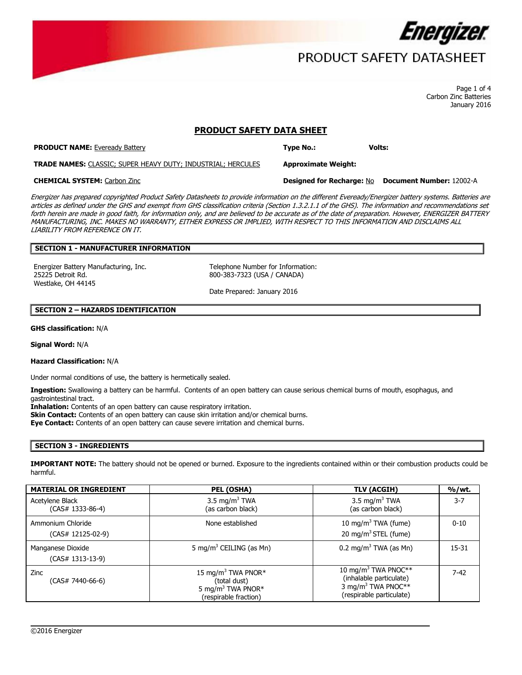

## PRODUCT SAFETY DATASHEET

 Page 1 of 4 Carbon Zinc Batteries January 2016

### **PRODUCT SAFETY DATA SHEET**

**PRODUCT NAME: Eveready Battery <b>Type No.: Type No.:** Volts: **Volts: Volts:** 

**TRADE NAMES:** CLASSIC; SUPER HEAVY DUTY; INDUSTRIAL; HERCULES **Approximate Weight:** 

### **CHEMICAL SYSTEM:** Carbon Zinc **Designed for Recharge:** No **Document Number:** 12002-A

 MANUFACTURING, INC. MAKES NO WARRANTY, EITHER EXPRESS OR IMPLIED, WITH RESPECT TO THIS INFORMATION AND DISCLAIMS ALL Energizer has prepared copyrighted Product Safety Datasheets to provide information on the different Eveready/Energizer battery systems. Batteries are articles as defined under the GHS and exempt from GHS classification criteria (Section 1.3.2.1.1 of the GHS). The information and recommendations set forth herein are made in good faith, for information only, and are believed to be accurate as of the date of preparation. However, ENERGIZER BATTERY LIABILITY FROM REFERENCE ON IT.

## **SECTION 1 - MANUFACTURER INFORMATION**

Energizer Battery Manufacturing, Inc. Telephone Number for Information: 25225 Detroit Rd. 800-383-7323 (USA / CANADA) Westlake, OH 44145

Date Prepared: January 2016

### **SECTION 2 – HAZARDS IDENTIFICATION**

**GHS classification:** N/A

**Signal Word:** N/A

### **Hazard Classification:** N/A

Under normal conditions of use, the battery is hermetically sealed.

**Ingestion:** Swallowing a battery can be harmful. Contents of an open battery can cause serious chemical burns of mouth, esophagus, and gastrointestinal tract.

**Inhalation:** Contents of an open battery can cause respiratory irritation.

**Skin Contact:** Contents of an open battery can cause skin irritation and/or chemical burns.

**Eye Contact:** Contents of an open battery can cause severe irritation and chemical burns.

### **SECTION 3 - INGREDIENTS**

**IMPORTANT NOTE:** The battery should not be opened or burned. Exposure to the ingredients contained within or their combustion products could be harmful.

| <b>MATERIAL OR INGREDIENT</b>          | PEL (OSHA)                                                                                               | TLV (ACGIH)                                                         | %/wt.     |
|----------------------------------------|----------------------------------------------------------------------------------------------------------|---------------------------------------------------------------------|-----------|
| Acetylene Black<br>(CAS# 1333-86-4)    | 3.5 mg/m <sup>3</sup> TWA<br>(as carbon black)                                                           | 3.5 mg/m <sup>3</sup> TWA<br>(as carbon black)                      | $3 - 7$   |
| Ammonium Chloride<br>(CAS# 12125-02-9) | None established                                                                                         | 10 mg/m <sup>3</sup> TWA (fume)<br>20 mg/m <sup>3</sup> STEL (fume) | $0 - 10$  |
| Manganese Dioxide<br>(CAS# 1313-13-9)  | 5 mg/m <sup>3</sup> CEILING (as Mn)                                                                      | 0.2 mg/m <sup>3</sup> TWA (as Mn)                                   | $15 - 31$ |
| Zinc<br>(CAS# 7440-66-6)               | 15 mg/m <sup>3</sup> TWA PNOR*<br>(total dust)<br>5 mg/m <sup>3</sup> TWA PNOR*<br>(respirable fraction) |                                                                     | $7 - 42$  |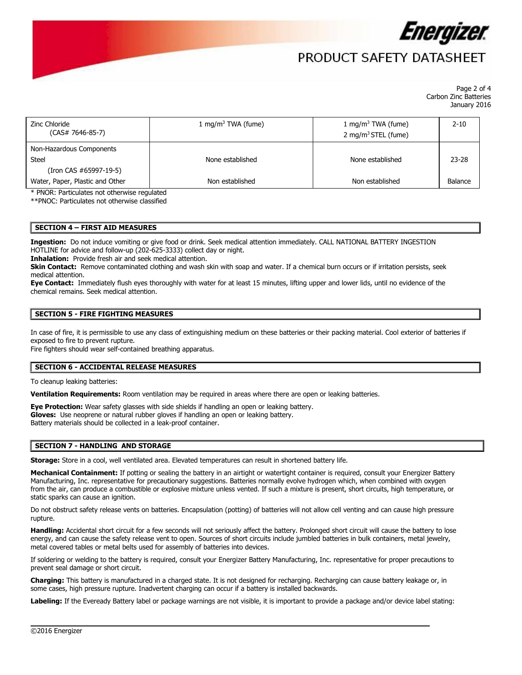

# PRODUCT SAFFTY DATASHFFT

 Page 2 of 4 Carbon Zinc Batteries January 2016

| Zinc Chloride<br>$(CAS# 7646-85-7)$                         | 1 mg/m <sup>3</sup> TWA (fume) | 1 mg/m <sup>3</sup> TWA (fume)<br>2 mg/m <sup>3</sup> STEL (fume) | $2 - 10$  |
|-------------------------------------------------------------|--------------------------------|-------------------------------------------------------------------|-----------|
| Non-Hazardous Components<br>Steel<br>(Iron CAS #65997-19-5) | None established               | None established                                                  | $23 - 28$ |
| Water, Paper, Plastic and Other                             | Non established                | Non established                                                   | Balance   |

\* PNOR: Particulates not otherwise regulated

\*\*PNOC: Particulates not otherwise classified

### **SECTION 4 – FIRST AID MEASURES**

 **Ingestion:** Do not induce vomiting or give food or drink. Seek medical attention immediately. CALL NATIONAL BATTERY INGESTION HOTLINE for advice and follow-up (202-625-3333) collect day or night.

**Inhalation:** Provide fresh air and seek medical attention.

 **Skin Contact:** Remove contaminated clothing and wash skin with soap and water. If a chemical burn occurs or if irritation persists, seek medical attention.

**Eye Contact:** Immediately flush eyes thoroughly with water for at least 15 minutes, lifting upper and lower lids, until no evidence of the chemical remains. Seek medical attention.

### **SECTION 5 - FIRE FIGHTING MEASURES**

 In case of fire, it is permissible to use any class of extinguishing medium on these batteries or their packing material. Cool exterior of batteries if exposed to fire to prevent rupture.

Fire fighters should wear self-contained breathing apparatus.

### **SECTION 6 - ACCIDENTAL RELEASE MEASURES**

To cleanup leaking batteries:

**Ventilation Requirements:** Room ventilation may be required in areas where there are open or leaking batteries.

**Eye Protection:** Wear safety glasses with side shields if handling an open or leaking battery.

**Gloves:** Use neoprene or natural rubber gloves if handling an open or leaking battery.

Battery materials should be collected in a leak-proof container.

### **SECTION 7 - HANDLING AND STORAGE**

**Storage:** Store in a cool, well ventilated area. Elevated temperatures can result in shortened battery life.

Mechanical Containment: If potting or sealing the battery in an airtight or watertight container is required, consult your Energizer Battery Manufacturing, Inc. representative for precautionary suggestions. Batteries normally evolve hydrogen which, when combined with oxygen from the air, can produce a combustible or explosive mixture unless vented. If such a mixture is present, short circuits, high temperature, or static sparks can cause an ignition.

Do not obstruct safety release vents on batteries. Encapsulation (potting) of batteries will not allow cell venting and can cause high pressure rupture.

**Handling:** Accidental short circuit for a few seconds will not seriously affect the battery. Prolonged short circuit will cause the battery to lose energy, and can cause the safety release vent to open. Sources of short circuits include jumbled batteries in bulk containers, metal jewelry, metal covered tables or metal belts used for assembly of batteries into devices.

If soldering or welding to the battery is required, consult your Energizer Battery Manufacturing, Inc. representative for proper precautions to prevent seal damage or short circuit.

 **Charging:** This battery is manufactured in a charged state. It is not designed for recharging. Recharging can cause battery leakage or, in some cases, high pressure rupture. Inadvertent charging can occur if a battery is installed backwards.

**Labeling:** If the Eveready Battery label or package warnings are not visible, it is important to provide a package and/or device label stating: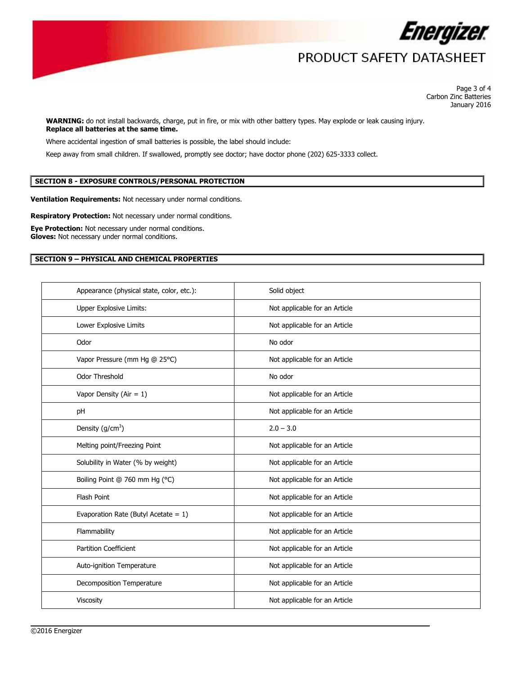

# PRODUCT SAFETY DATASHEET

 Page 3 of 4 Carbon Zinc Batteries January 2016

 **Replace all batteries at the same time. WARNING:** do not install backwards, charge, put in fire, or mix with other battery types. May explode or leak causing injury.

Where accidental ingestion of small batteries is possible, the label should include:

Keep away from small children. If swallowed, promptly see doctor; have doctor phone (202) 625-3333 collect.

## **SECTION 8 - EXPOSURE CONTROLS/PERSONAL PROTECTION**

**Ventilation Requirements:** Not necessary under normal conditions.

**Respiratory Protection:** Not necessary under normal conditions.

**Eye Protection:** Not necessary under normal conditions. **Gloves:** Not necessary under normal conditions.

### **SECTION 9 – PHYSICAL AND CHEMICAL PROPERTIES**

| Appearance (physical state, color, etc.): | Solid object                  |
|-------------------------------------------|-------------------------------|
| <b>Upper Explosive Limits:</b>            | Not applicable for an Article |
| Lower Explosive Limits                    | Not applicable for an Article |
| Odor                                      | No odor                       |
| Vapor Pressure (mm Hg @ 25°C)             | Not applicable for an Article |
| Odor Threshold                            | No odor                       |
| Vapor Density (Air = $1$ )                | Not applicable for an Article |
| pH                                        | Not applicable for an Article |
| Density $(g/cm^3)$                        | $2.0 - 3.0$                   |
| Melting point/Freezing Point              | Not applicable for an Article |
| Solubility in Water (% by weight)         | Not applicable for an Article |
| Boiling Point @ 760 mm Hg (°C)            | Not applicable for an Article |
| Flash Point                               | Not applicable for an Article |
| Evaporation Rate (Butyl Acetate = $1$ )   | Not applicable for an Article |
| Flammability                              | Not applicable for an Article |
| <b>Partition Coefficient</b>              | Not applicable for an Article |
| Auto-ignition Temperature                 | Not applicable for an Article |
| Decomposition Temperature                 | Not applicable for an Article |
| Viscosity                                 | Not applicable for an Article |